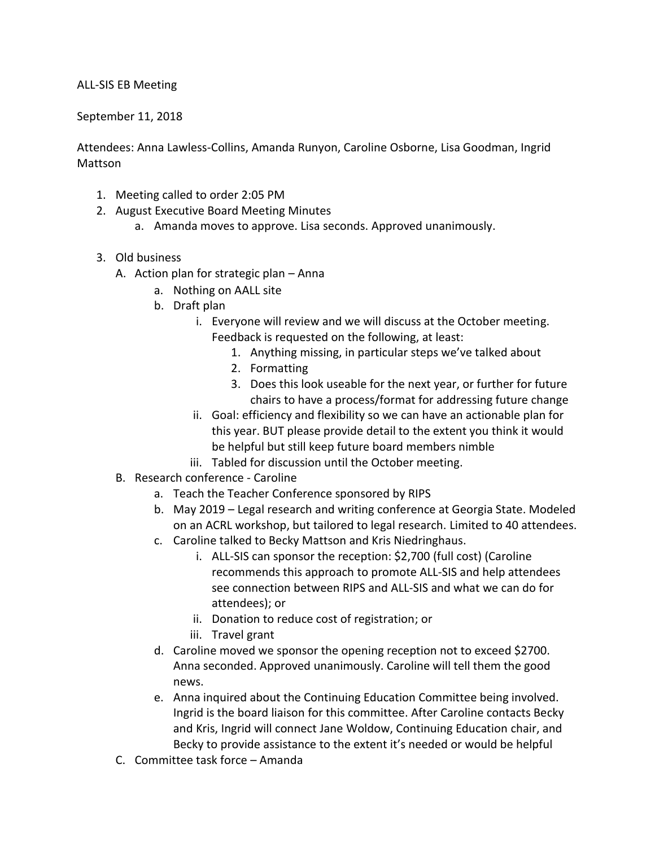## ALL-SIS EB Meeting

## September 11, 2018

Attendees: Anna Lawless-Collins, Amanda Runyon, Caroline Osborne, Lisa Goodman, Ingrid Mattson

- 1. Meeting called to order 2:05 PM
- 2. August Executive Board Meeting Minutes
	- a. Amanda moves to approve. Lisa seconds. Approved unanimously.
- 3. Old business
	- A. Action plan for strategic plan Anna
		- a. Nothing on AALL site
		- b. Draft plan
			- i. Everyone will review and we will discuss at the October meeting. Feedback is requested on the following, at least:
				- 1. Anything missing, in particular steps we've talked about
				- 2. Formatting
				- 3. Does this look useable for the next year, or further for future chairs to have a process/format for addressing future change
			- ii. Goal: efficiency and flexibility so we can have an actionable plan for this year. BUT please provide detail to the extent you think it would be helpful but still keep future board members nimble
			- iii. Tabled for discussion until the October meeting.
	- B. Research conference Caroline
		- a. Teach the Teacher Conference sponsored by RIPS
		- b. May 2019 Legal research and writing conference at Georgia State. Modeled on an ACRL workshop, but tailored to legal research. Limited to 40 attendees.
		- c. Caroline talked to Becky Mattson and Kris Niedringhaus.
			- i. ALL-SIS can sponsor the reception: \$2,700 (full cost) (Caroline recommends this approach to promote ALL-SIS and help attendees see connection between RIPS and ALL-SIS and what we can do for attendees); or
			- ii. Donation to reduce cost of registration; or
			- iii. Travel grant
		- d. Caroline moved we sponsor the opening reception not to exceed \$2700. Anna seconded. Approved unanimously. Caroline will tell them the good news.
		- e. Anna inquired about the Continuing Education Committee being involved. Ingrid is the board liaison for this committee. After Caroline contacts Becky and Kris, Ingrid will connect Jane Woldow, Continuing Education chair, and Becky to provide assistance to the extent it's needed or would be helpful
	- C. Committee task force Amanda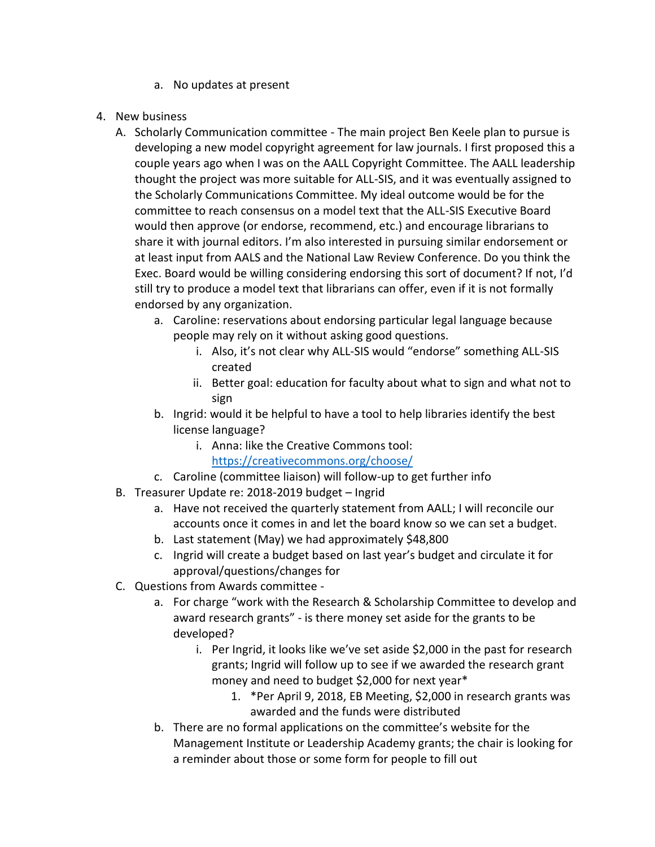- a. No updates at present
- 4. New business
	- A. Scholarly Communication committee The main project Ben Keele plan to pursue is developing a new model copyright agreement for law journals. I first proposed this a couple years ago when I was on the AALL Copyright Committee. The AALL leadership thought the project was more suitable for ALL-SIS, and it was eventually assigned to the Scholarly Communications Committee. My ideal outcome would be for the committee to reach consensus on a model text that the ALL-SIS Executive Board would then approve (or endorse, recommend, etc.) and encourage librarians to share it with journal editors. I'm also interested in pursuing similar endorsement or at least input from AALS and the National Law Review Conference. Do you think the Exec. Board would be willing considering endorsing this sort of document? If not, I'd still try to produce a model text that librarians can offer, even if it is not formally endorsed by any organization.
		- a. Caroline: reservations about endorsing particular legal language because people may rely on it without asking good questions.
			- i. Also, it's not clear why ALL-SIS would "endorse" something ALL-SIS created
			- ii. Better goal: education for faculty about what to sign and what not to sign
		- b. Ingrid: would it be helpful to have a tool to help libraries identify the best license language?
			- i. Anna: like the Creative Commons tool: <https://creativecommons.org/choose/>
		- c. Caroline (committee liaison) will follow-up to get further info
	- B. Treasurer Update re: 2018-2019 budget Ingrid
		- a. Have not received the quarterly statement from AALL; I will reconcile our accounts once it comes in and let the board know so we can set a budget.
		- b. Last statement (May) we had approximately \$48,800
		- c. Ingrid will create a budget based on last year's budget and circulate it for approval/questions/changes for
	- C. Questions from Awards committee
		- a. For charge "work with the Research & Scholarship Committee to develop and award research grants" - is there money set aside for the grants to be developed?
			- i. Per Ingrid, it looks like we've set aside \$2,000 in the past for research grants; Ingrid will follow up to see if we awarded the research grant money and need to budget \$2,000 for next year\*
				- 1. \*Per April 9, 2018, EB Meeting, \$2,000 in research grants was awarded and the funds were distributed
		- b. There are no formal applications on the committee's website for the Management Institute or Leadership Academy grants; the chair is looking for a reminder about those or some form for people to fill out